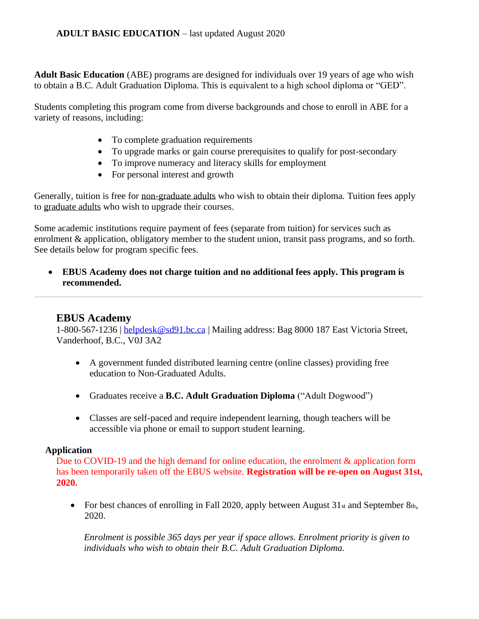**Adult Basic Education** (ABE) programs are designed for individuals over 19 years of age who wish to obtain a B.C. Adult Graduation Diploma. This is equivalent to a high school diploma or "GED".

Students completing this program come from diverse backgrounds and chose to enroll in ABE for a variety of reasons, including:

- To complete graduation requirements
- To upgrade marks or gain course prerequisites to qualify for post-secondary
- To improve numeracy and literacy skills for employment
- For personal interest and growth

Generally, tuition is free for non-graduate adults who wish to obtain their diploma. Tuition fees apply to graduate adults who wish to upgrade their courses.

Some academic institutions require payment of fees (separate from tuition) for services such as enrolment & application, obligatory member to the student union, transit pass programs, and so forth. See details below for program specific fees.

• **EBUS Academy does not charge tuition and no additional fees apply. This program is recommended.** 

# **EBUS Academy**

1-800-567-1236 | [helpdesk@sd91.bc.ca](mailto:helpdesk@sd91.bc.ca) | Mailing address: Bag 8000 187 East Victoria Street, Vanderhoof, B.C., V0J 3A2

- A government funded distributed learning centre (online classes) providing free education to Non-Graduated Adults.
- Graduates receive a **B.C. Adult Graduation Diploma** ("Adult Dogwood")
- Classes are self-paced and require independent learning, though teachers will be accessible via phone or email to support student learning.

## **Application**

Due to COVID-19 and the high demand for online education, the enrolment & application form has been temporarily taken off the EBUS website. **Registration will be re-open on August 31st, 2020.** 

• For best chances of enrolling in Fall 2020, apply between August  $31_{st}$  and September 8th, 2020.

*Enrolment is possible 365 days per year if space allows. Enrolment priority is given to individuals who wish to obtain their B.C. Adult Graduation Diploma.*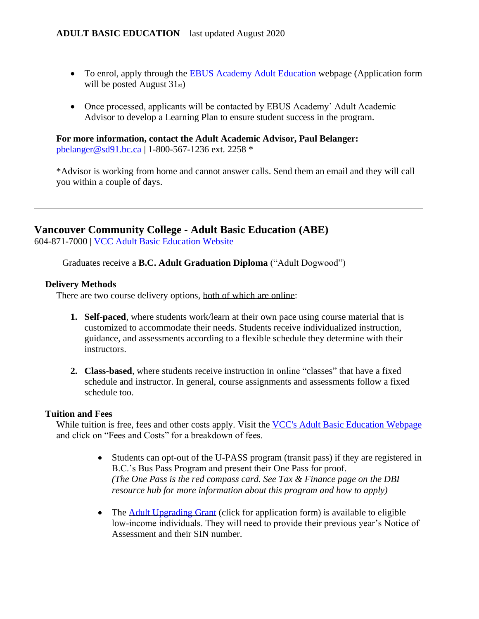- To enrol, apply through the [EBUS Academy Adult Education w](https://ebus.ca/online-learning-programs/adult-education/)ebpage (Application form will be posted August 31st)
- Once processed, applicants will be contacted by EBUS Academy' Adult Academic Advisor to develop a Learning Plan to ensure student success in the program.

**For more information, contact the Adult Academic Advisor, Paul Belanger:**  [pbelanger@sd91.bc.ca](mailto:pbelanger@sd91.bc.ca) | 1-800-567-1236 ext. 2258 \*

\*Advisor is working from home and cannot answer calls. Send them an email and they will call you within a couple of days.

# **Vancouver Community College - Adult Basic Education (ABE)**

604-871-7000 | [VCC Adult Basic Education Website](https://www.vcc.ca/programs/adult-basic-education-abe-graduation/)

Graduates receive a **B.C. Adult Graduation Diploma** ("Adult Dogwood")

## **Delivery Methods**

There are two course delivery options, both of which are online:

- **1. Self-paced**, where students work/learn at their own pace using course material that is customized to accommodate their needs. Students receive individualized instruction, guidance, and assessments according to a flexible schedule they determine with their instructors.
- **2. Class-based**, where students receive instruction in online "classes" that have a fixed schedule and instructor. In general, course assignments and assessments follow a fixed schedule too.

## **Tuition and Fees**

While tuition is free, fees and other costs apply. Visit the [VCC's Adult Basic Education Webpage](https://www.vcc.ca/programs/adult-basic-education-abe-graduation/) and click on "Fees and Costs" for a breakdown of fees.

- Students can opt-out of the U-PASS program (transit pass) if they are registered in B.C.'s Bus Pass Program and present their One Pass for proof. *(The One Pass is the red compass card. See Tax & Finance page on the DBI resource hub for more information about this program and how to apply)*
- The [Adult Upgrading Grant](https://www.vcc.ca/media/vancouver-community-college/content-assets/documents/financial-aid/AUG-20-21-Application.pdf) (click for application form) is available to eligible low-income individuals. They will need to provide their previous year's Notice of Assessment and their SIN number.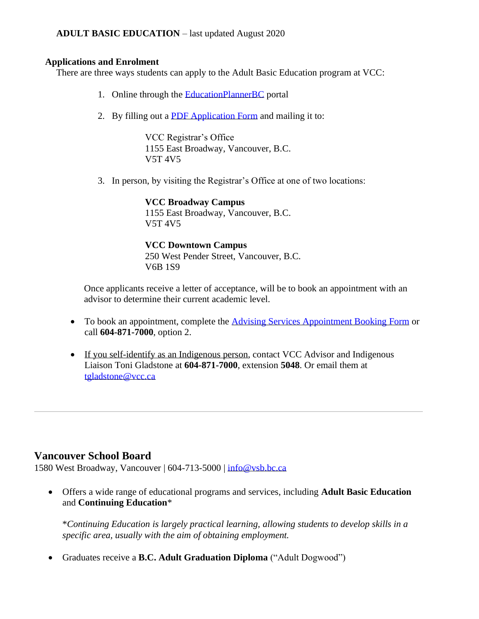## **ADULT BASIC EDUCATION** – last updated August 2020

#### **Applications and Enrolment**

There are three ways students can apply to the Adult Basic Education program at VCC:

- 1. Online through the [EducationPlannerBC](https://apply.educationplannerbc.ca/) portal
- 2. By filling out a [PDF Application Form](https://www.vcc.ca/media/vancouver-community-college/content-assets/documents/forms/application-for-admission-form.pdf) and mailing it to:

VCC Registrar's Office 1155 East Broadway, Vancouver, B.C. V5T 4V5

3. In person, by visiting the Registrar's Office at one of two locations:

**VCC Broadway Campus** 1155 East Broadway, Vancouver, B.C. V5T 4V5

**VCC Downtown Campus**  250 West Pender Street, Vancouver, B.C. V6B 1S9

Once applicants receive a letter of acceptance, will be to book an appointment with an advisor to determine their current academic level.

- To book an appointment, complete the [Advising Services Appointment Booking Form](https://www.vcc.ca/applying/registration-services/advising-services/advising-services-appointment/) or call **604-871-7000**, option 2.
- If you self-identify as an Indigenous person, contact VCC Advisor and Indigenous Liaison Toni Gladstone at **604-871-7000**, extension **5048**. Or email them at tgladstone@vcc.ca

# **Vancouver School Board**

1580 West Broadway, Vancouver | 604-713-5000 | [info@vsb.bc.ca](mailto:info@vsb.bc.ca)

• Offers a wide range of educational programs and services, including **Adult Basic Education** and **Continuing Education**\*

\**Continuing Education is largely practical learning, allowing students to develop skills in a specific area, usually with the aim of obtaining employment.* 

• Graduates receive a **B.C. Adult Graduation Diploma** ("Adult Dogwood")